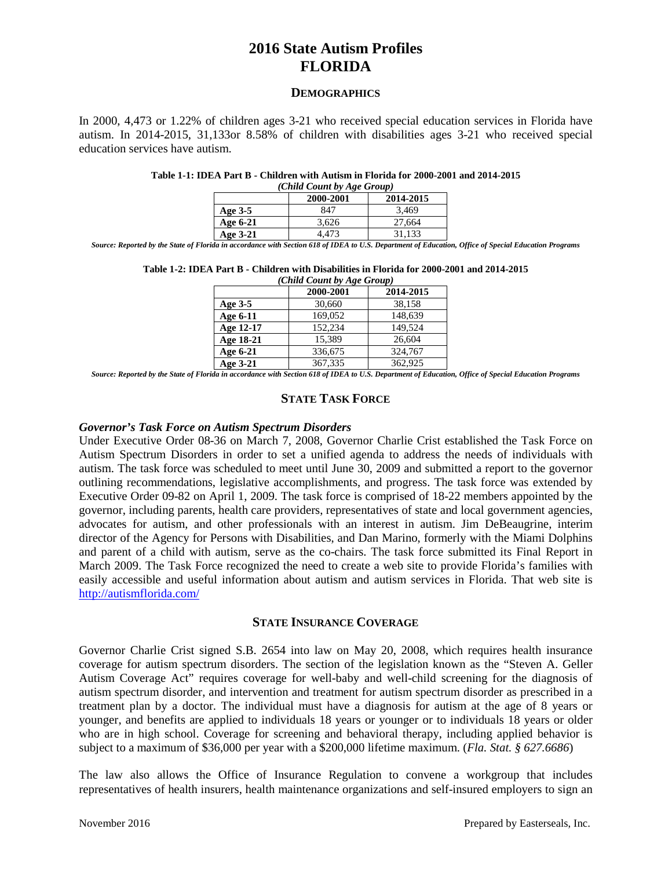#### **DEMOGRAPHICS**

In 2000, 4,473 or 1.22% of children ages 3-21 who received special education services in Florida have autism. In 2014-2015, 31,133or 8.58% of children with disabilities ages 3-21 who received special education services have autism.

#### **Table 1-1: IDEA Part B - Children with Autism in Florida for 2000-2001 and 2014-2015**

| (Child Count by Age Group) |           |           |  |  |  |
|----------------------------|-----------|-----------|--|--|--|
|                            | 2000-2001 | 2014-2015 |  |  |  |
| Age $3-5$                  | 847       | 3.469     |  |  |  |
| Age 6-21                   | 3.626     | 27.664    |  |  |  |
| Age 3-21                   | 4.473     | 31.133    |  |  |  |

*Source: Reported by the State of Florida in accordance with Section 618 of IDEA to U.S. Department of Education, Office of Special Education Programs*

| Table 1-2: IDEA Part B - Children with Disabilities in Florida for 2000-2001 and 2014-2015 |  |              |  |  |  |  |
|--------------------------------------------------------------------------------------------|--|--------------|--|--|--|--|
|                                                                                            |  | (0.31101111) |  |  |  |  |

| (Child Count by Age Group) |           |           |  |  |  |  |
|----------------------------|-----------|-----------|--|--|--|--|
|                            | 2000-2001 | 2014-2015 |  |  |  |  |
| Age $3-5$                  | 30,660    | 38,158    |  |  |  |  |
| Age 6-11                   | 169,052   | 148,639   |  |  |  |  |
| Age 12-17                  | 152,234   | 149,524   |  |  |  |  |
| Age 18-21                  | 15.389    | 26,604    |  |  |  |  |
| Age 6-21                   | 336,675   | 324,767   |  |  |  |  |
| Age 3-21                   | 367,335   | 362,925   |  |  |  |  |

*Source: Reported by the State of Florida in accordance with Section 618 of IDEA to U.S. Department of Education, Office of Special Education Programs*

### **STATE TASK FORCE**

#### *Governor's Task Force on Autism Spectrum Disorders*

Under Executive Order 08-36 on March 7, 2008, Governor Charlie Crist established the Task Force on Autism Spectrum Disorders in order to set a unified agenda to address the needs of individuals with autism. The task force was scheduled to meet until June 30, 2009 and submitted a report to the governor outlining recommendations, legislative accomplishments, and progress. The task force was extended by Executive Order 09-82 on April 1, 2009. The task force is comprised of 18-22 members appointed by the governor, including parents, health care providers, representatives of state and local government agencies, advocates for autism, and other professionals with an interest in autism. Jim DeBeaugrine, interim director of the Agency for Persons with Disabilities, and Dan Marino, formerly with the Miami Dolphins and parent of a child with autism, serve as the co-chairs. The task force submitted its Final Report in March 2009. The Task Force recognized the need to create a web site to provide Florida's families with easily accessible and useful information about autism and autism services in Florida. That web site is <http://autismflorida.com/>

### **STATE INSURANCE COVERAGE**

Governor Charlie Crist signed S.B. 2654 into law on May 20, 2008, which requires health insurance coverage for autism spectrum disorders. The section of the legislation known as the "Steven A. Geller Autism Coverage Act" requires coverage for well-baby and well-child screening for the diagnosis of autism spectrum disorder, and intervention and treatment for autism spectrum disorder as prescribed in a treatment plan by a doctor. The individual must have a diagnosis for autism at the age of 8 years or younger, and benefits are applied to individuals 18 years or younger or to individuals 18 years or older who are in high school. Coverage for screening and behavioral therapy, including applied behavior is subject to a maximum of \$36,000 per year with a \$200,000 lifetime maximum. (*Fla. Stat. § 627.6686*)

The law also allows the Office of Insurance Regulation to convene a workgroup that includes representatives of health insurers, health maintenance organizations and self-insured employers to sign an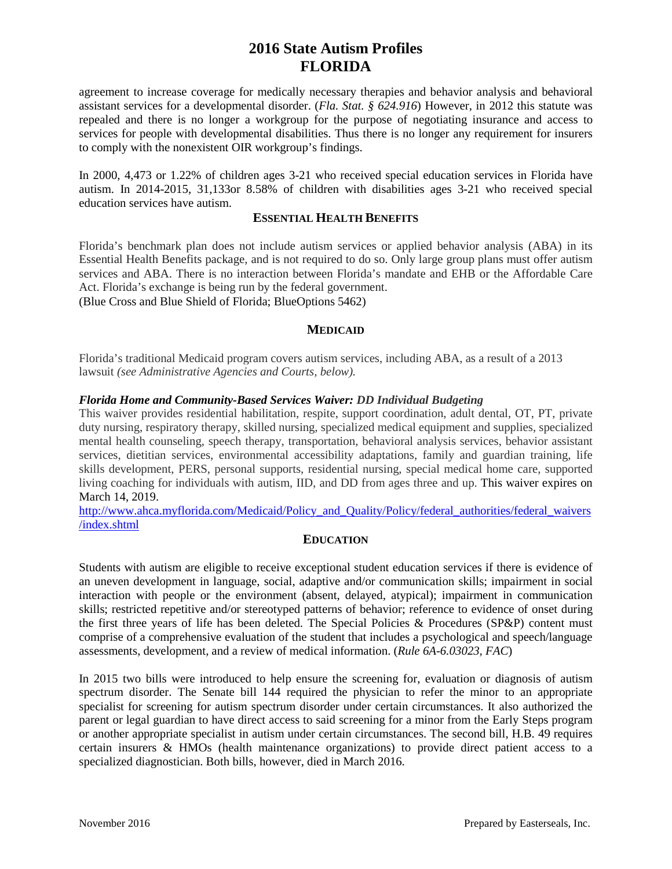agreement to increase coverage for medically necessary therapies and behavior analysis and behavioral assistant services for a developmental disorder. (*Fla. Stat. § 624.916*) However, in 2012 this statute was repealed and there is no longer a workgroup for the purpose of negotiating insurance and access to services for people with developmental disabilities. Thus there is no longer any requirement for insurers to comply with the nonexistent OIR workgroup's findings.

In 2000, 4,473 or 1.22% of children ages 3-21 who received special education services in Florida have autism. In 2014-2015, 31,133or 8.58% of children with disabilities ages 3-21 who received special education services have autism.

## **ESSENTIAL HEALTH BENEFITS**

Florida's benchmark plan does not include autism services or applied behavior analysis (ABA) in its Essential Health Benefits package, and is not required to do so. Only large group plans must offer autism services and ABA. There is no interaction between Florida's mandate and EHB or the Affordable Care Act. Florida's exchange is being run by the federal government.

(Blue Cross and Blue Shield of Florida; BlueOptions 5462)

## **MEDICAID**

Florida's traditional Medicaid program covers autism services, including ABA, as a result of a 2013 lawsuit *(see Administrative Agencies and Courts, below).*

## *Florida Home and Community-Based Services Waiver: DD Individual Budgeting*

This waiver provides residential habilitation, respite, support coordination, adult dental, OT, PT, private duty nursing, respiratory therapy, skilled nursing, specialized medical equipment and supplies, specialized mental health counseling, speech therapy, transportation, behavioral analysis services, behavior assistant services, dietitian services, environmental accessibility adaptations, family and guardian training, life skills development, PERS, personal supports, residential nursing, special medical home care, supported living coaching for individuals with autism, IID, and DD from ages three and up. This waiver expires on March 14, 2019.

[http://www.ahca.myflorida.com/Medicaid/Policy\\_and\\_Quality/Policy/federal\\_authorities/federal\\_waivers](http://www.ahca.myflorida.com/Medicaid/Policy_and_Quality/Policy/federal_authorities/federal_waivers/index.shtml) [/index.shtml](http://www.ahca.myflorida.com/Medicaid/Policy_and_Quality/Policy/federal_authorities/federal_waivers/index.shtml)

## **EDUCATION**

Students with autism are eligible to receive exceptional student education services if there is evidence of an uneven development in language, social, adaptive and/or communication skills; impairment in social interaction with people or the environment (absent, delayed, atypical); impairment in communication skills; restricted repetitive and/or stereotyped patterns of behavior; reference to evidence of onset during the first three years of life has been deleted. The Special Policies & Procedures (SP&P) content must comprise of a comprehensive evaluation of the student that includes a psychological and speech/language assessments, development, and a review of medical information. (*Rule 6A-6.03023, FAC*)

In 2015 two bills were introduced to help ensure the screening for, evaluation or diagnosis of autism spectrum disorder. The Senate bill 144 required the physician to refer the minor to an appropriate specialist for screening for autism spectrum disorder under certain circumstances. It also authorized the parent or legal guardian to have direct access to said screening for a minor from the Early Steps program or another appropriate specialist in autism under certain circumstances. The second bill, H.B. 49 requires certain insurers & HMOs (health maintenance organizations) to provide direct patient access to a specialized diagnostician. Both bills, however, died in March 2016.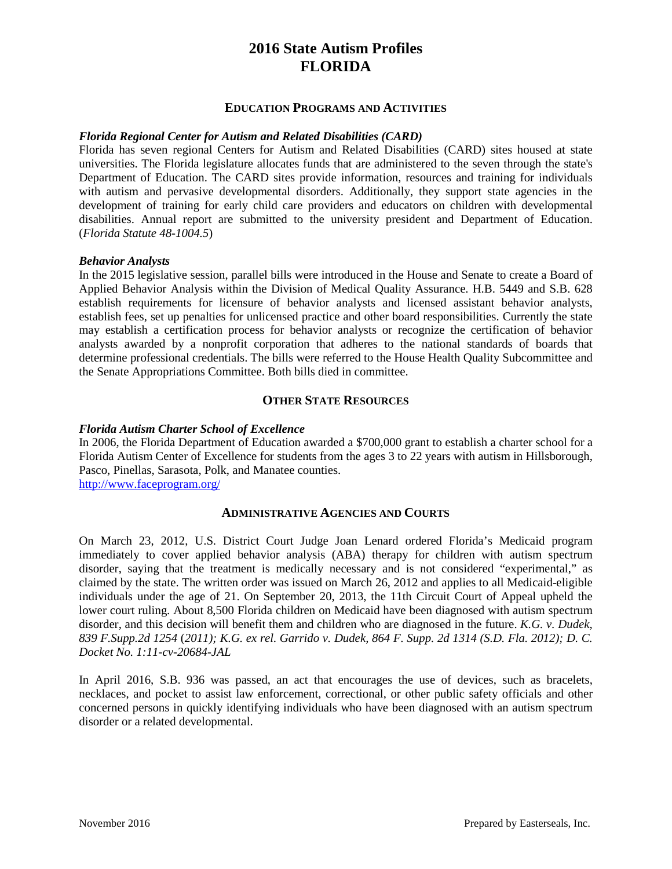## **EDUCATION PROGRAMS AND ACTIVITIES**

## *Florida Regional Center for Autism and Related Disabilities (CARD)*

Florida has seven regional Centers for Autism and Related Disabilities (CARD) sites housed at state universities. The Florida legislature allocates funds that are administered to the seven through the state's Department of Education. The CARD sites provide information, resources and training for individuals with autism and pervasive developmental disorders. Additionally, they support state agencies in the development of training for early child care providers and educators on children with developmental disabilities. Annual report are submitted to the university president and Department of Education. (*Florida Statute 48-1004.5*)

#### *Behavior Analysts*

In the 2015 legislative session, parallel bills were introduced in the House and Senate to create a Board of Applied Behavior Analysis within the Division of Medical Quality Assurance. H.B. 5449 and S.B. 628 establish requirements for licensure of behavior analysts and licensed assistant behavior analysts, establish fees, set up penalties for unlicensed practice and other board responsibilities. Currently the state may establish a certification process for behavior analysts or recognize the certification of behavior analysts awarded by a nonprofit corporation that adheres to the national standards of boards that determine professional credentials. The bills were referred to the House Health Quality Subcommittee and the Senate Appropriations Committee. Both bills died in committee.

### **OTHER STATE RESOURCES**

## *Florida Autism Charter School of Excellence*

In 2006, the Florida Department of Education awarded a \$700,000 grant to establish a charter school for a Florida Autism Center of Excellence for students from the ages 3 to 22 years with autism in Hillsborough, Pasco, Pinellas, Sarasota, Polk, and Manatee counties.

<http://www.faceprogram.org/>

### **ADMINISTRATIVE AGENCIES AND COURTS**

On March 23, 2012, U.S. District Court Judge Joan Lenard ordered Florida's Medicaid program immediately to cover applied behavior analysis (ABA) therapy for children with autism spectrum disorder, saying that the treatment is medically necessary and is not considered "experimental," as claimed by the state. The written order was issued on March 26, 2012 and applies to all Medicaid-eligible individuals under the age of 21. On September 20, 2013, the 11th Circuit Court of Appeal upheld the lower court ruling. About 8,500 Florida children on Medicaid have been diagnosed with autism spectrum disorder, and this decision will benefit them and children who are diagnosed in the future. *K.G. v. Dudek*, *839 F.Supp.2d 1254* (*2011); K.G. ex rel. Garrido v. Dudek, 864 F. Supp. 2d 1314 (S.D. Fla. 2012); D. C. Docket No. 1:11-cv-20684-JAL*

In April 2016, S.B. 936 was passed, an act that encourages the use of devices, such as bracelets, necklaces, and pocket to assist law enforcement, correctional, or other public safety officials and other concerned persons in quickly identifying individuals who have been diagnosed with an autism spectrum disorder or a related developmental.